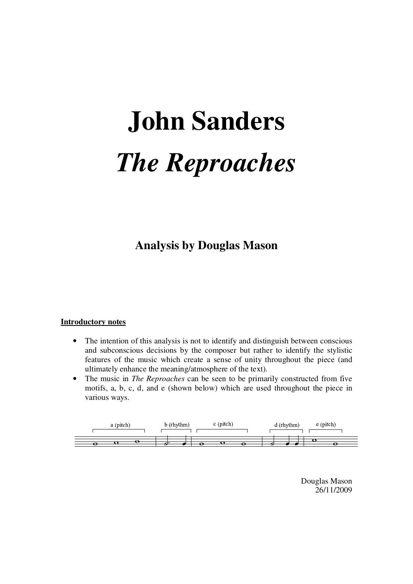# **John Sanders**  *The Reproaches*

**Analysis by Douglas Mason** 

#### **Introductory notes**

- The intention of this analysis is not to identify and distinguish between conscious and subconscious decisions by the composer but rather to identify the stylistic features of the music which create a sense of unity throughout the piece (and ultimately enhance the meaning/atmosphere of the text).
- The music in *The Reproaches* can be seen to be primarily constructed from five motifs, a, b, c, d, and e (shown below) which are used throughout the piece in various ways.



Douglas Mason 26/11/2009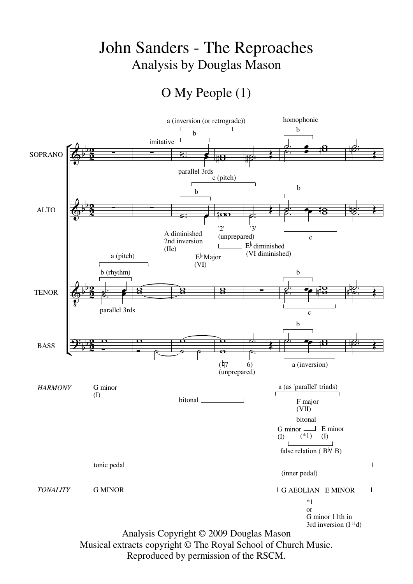## John Sanders - The Reproaches Analysis by Douglas Mason

### O My People (1)



Reproduced by permission of the RSCM.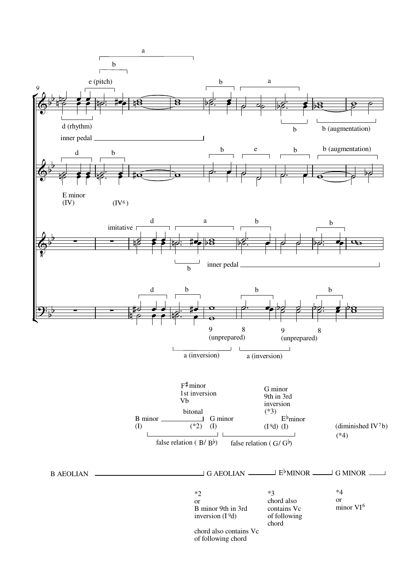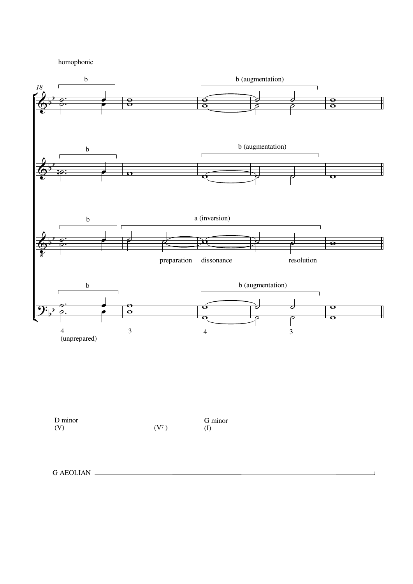homophonic



 $\overline{1}$ 

| D minor |                   | G minor |
|---------|-------------------|---------|
| (V)     | (V <sup>7</sup> ) | (I)     |

```
G AEOLIAN
```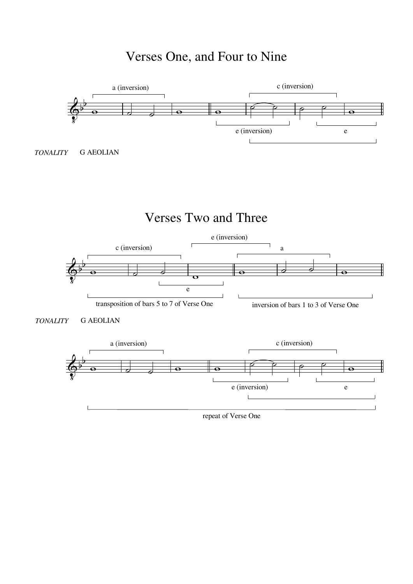# Verses One, and Four to Nine

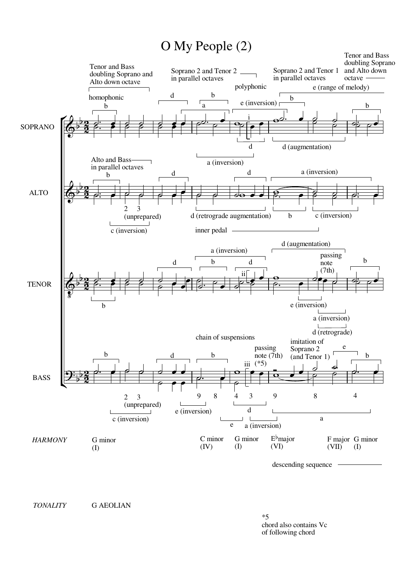#### O My People (2)



*TONALITY* G AEOLIAN

\*5 chord also contains Vc of following chord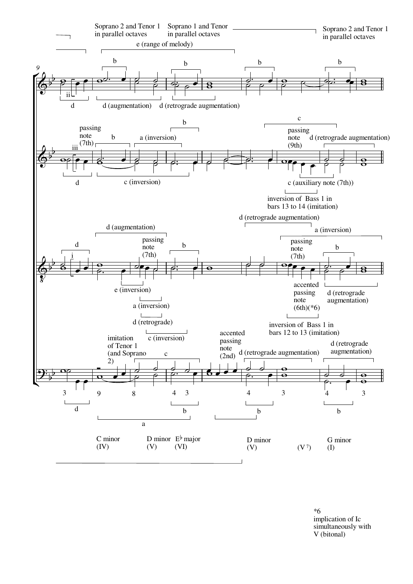

\*6 implication of Ic simultaneously with V (bitonal)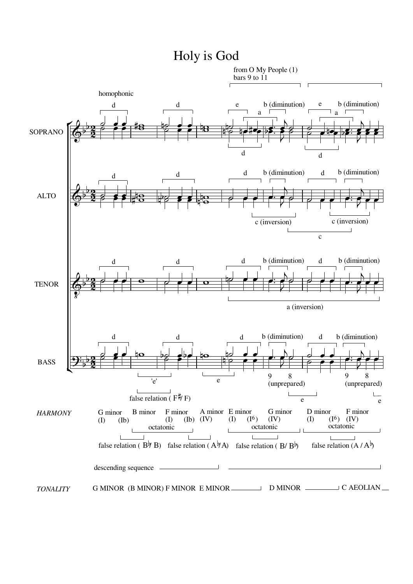

#### Holy is God